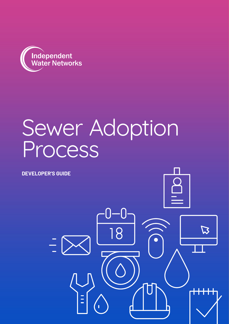

## Sewer Adoption Process

where  $\mathbf{A}$ 

K

**DEVELOPER'S GUIDE**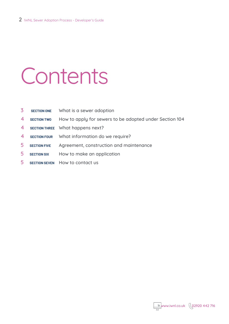# Contents

| 3 | <b>SECTION ONE</b> |  |  |  |  | What is a sewer adoption |
|---|--------------------|--|--|--|--|--------------------------|
|---|--------------------|--|--|--|--|--------------------------|

- **SECTION TWO** How to apply for sewers to be adopted under Section 104
- **SECTION THREE** What happens next?
- **SECTION FOUR** What information do we require?
- **SECTION FIVE** Agreement, construction and maintenance
- **SECTION SIX** How to make an application
- **SECTION SEVEN** How to contact us

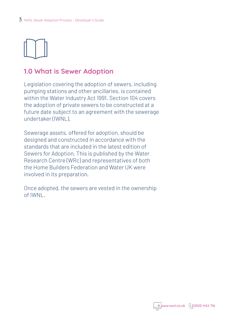

## **1.0 What is Sewer Adoption**

Legislation covering the adoption of sewers, including pumping stations and other ancillaries, is contained within the Water Industry Act 1991. Section 104 covers the adoption of private sewers to be constructed at a future date subject to an agreement with the sewerage undertaker (IWNL).

Sewerage assets, offered for adoption, should be designed and constructed in accordance with the standards that are included in the latest edition of Sewers for Adoption. This is published by the Water Research Centre (WRc) and representatives of both the Home Builders Federation and Water UK were involved in its preparation.

Once adopted, the sewers are vested in the ownership of IWNL.

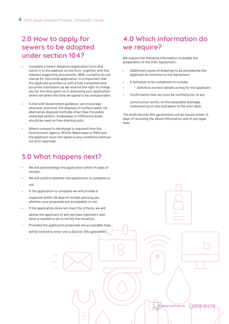## **2.0 How to apply for sewers to be adopted under section 104?**

- Complete a Sewer Adoption Application Form and return it to the address on the form, together with the relevant supporting documents. IWNL currently do not charge for this initial application. It is important that the applicant provides us with a fully completed and accurate submission as we reserve the right to charge you for the time spent on in assessing your application where we deem the time we spend to be unreasonable.
- In line with Government guidance, we encourage wherever practical, the disposal of surface water via alternative disposal methods other than the public sewerage system. Soakaways or infiltration areas should be used on free draining soils.
- Where consent to discharge is required from the Environment Agency, British Waterways or Railtrack, the applicant must not agree to any conditions without our prior approval.

## **3.0 What happens next?**

- We will acknowledge the application within 14 days of receipt.
- We will confirm whether the application is complete or not.
- If the application is complete we will provide a
	- response within 28 days of receipt advising you whether your proposals are acceptable or not.
- If the application does not meet the criteria, we will advise the applicant of why we have rejected it and what is needed to do to rectify the situation.
- Provided the applicant's proposals are acceptable they will be invited to enter into a Section 104 agreement.

## **4.0 Which information do we require?**

We require the following information to enable the preparation of the S104 Agreement:

- Additional copies of drawings to be provided by the applicant for inclusion in the Agreement
- A Schedule to be completed to include:
- - Solicitors contact details acting for the applicant;
- Confirmation that we must be notified prior to any

construction works, on the adoptable drainage, commencing on site and agree to the start date.

The draft Section 104 agreements will be issued within 14 days of receiving the above information and of any legal fees.